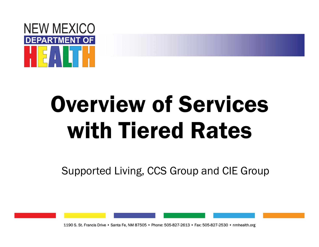

## Overview of Services with Tiered Rates

Supported Living, CCS Group and CIE Group

1190 S. St. Francis Drive • Santa Fe, NM 87505 • Phone: 505-827-2613 • Fax: 505-827-2530 • nmhealth.org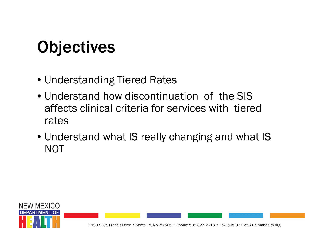## **Objectives**

- Understanding Tiered Rates
- Understand how discontinuation of the SIS affects clinical criteria for services with tiered rates
- Understand what IS really changing and what IS NOT

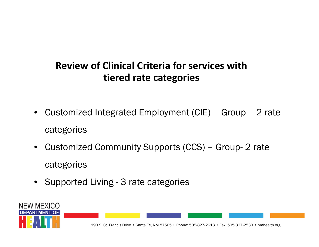#### **Review of Clinical Criteria for services with tiered rate categories**

- • Customized Integrated Employment (CIE) – Group – 2 rate categories
- $\bullet$  Customized Community Supports (CCS) – Group- 2 rate categories
- Supported Living 3 rate categories

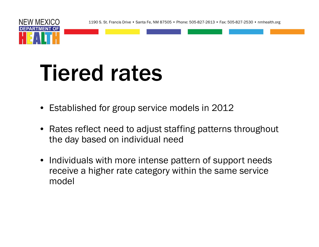1190 S. St. Francis Drive • Santa Fe, NM 87505 • Phone: 505-827-2613 • Fax: 505-827-2530 • nmhealth.org



NEW MEXICO

- Established for group service models in 2012
- Rates reflect need to adjust staffing patterns throughout the day based on individual need
- Individuals with more intense pattern of support needs receive a higher rate category within the same service model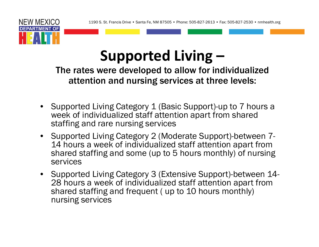

### **Supported Living**

The rates were developed to allow for individualized attention and nursing services at three levels:

- • Supported Living Category 1 (Basic Support)-up to 7 hours a week of individualized staff attention apart from shared staffing and rare nursing services
- Supported Living Category 2 (Moderate Support)-between 7- 14 hours a week of individualized staff attention apart from shared staffing and some (up to 5 hours monthly) of nursing services
- Supported Living Category 3 (Extensive Support)-between 14- 28 hours a week of individualized staff attention apart from shared staffing and frequent ( up to 10 hours monthly) nursing services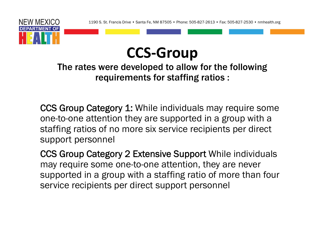



The rates were developed to allow for the following requirements for staffing ratios :

CCS Group Category 1: While individuals may require some one-to-one attention they are supported in a group with a staffing ratios of no more six service recipients per direct support personnel

CCS Group Category 2 Extensive Support While individuals may require some one-to-one attention, they are never supported in a group with a staffing ratio of more than four service recipients per direct support personnel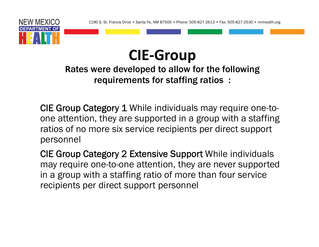

#### **CIE ‐Group**

#### **R**ates were developed to allow for the following requirements for staffing ratios :

CIE Group Category 1 While individuals may require one-toone attention, they are supported in a group with a staffing ratios of no more six service recipients per direct support personnel

CIE Group Category 2 Extensive Support While individuals may require one-to-one attention, they are never supported in a group with a staffing ratio of more than four service recipients per direct support personnel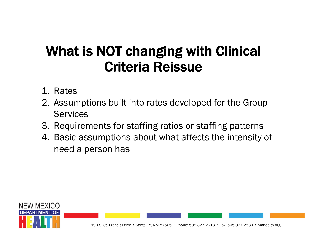#### What is NOT changing with Clinical Criteria Reissue

- 1. Rates
- 2. Assumptions built into rates developed for the Group **Services**
- 3. Requirements for staffing ratios or staffing patterns
- 4. Basic assumptions about what affects the intensity of need a person has

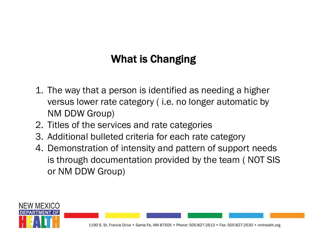#### What is Changing

- 1. The way that a person is identified as needing a higher versus lower rate category ( i.e. no longer automatic by NM DDW Group)
- 2. Titles of the services and rate categories
- 3. Additional bulleted criteria for each rate category
- 4. Demonstration of intensity and pattern of support needs is through documentation provided by the team ( NOT SIS or NM DDW Group)

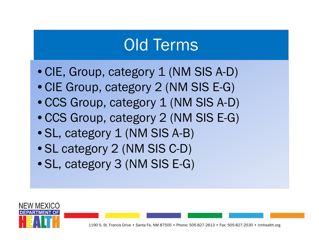### Old Terms

- CIE, Group, category 1 (NM SIS A-D)
- •CIE Group, category 2 (NM SIS E-G)
- CCS Group, category 1 (NM SIS A-D)
- •CCS Group, category 2 (NM SIS E-G)
- SL, category 1 (NM SIS A-B)
- SL category 2 (NM SIS C-D)
- •SL, category 3 (NM SIS E-G)

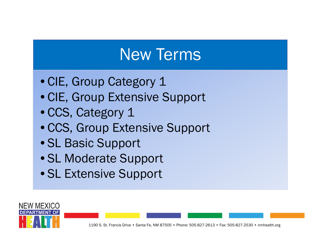## New Terms

- CIE, Group Category 1
- •CIE, Group Extensive Support
- •CCS, Category 1
- •CCS, Group Extensive Support
- •SL Basic Support
- •SL Moderate Support
- •SL Extensive Support